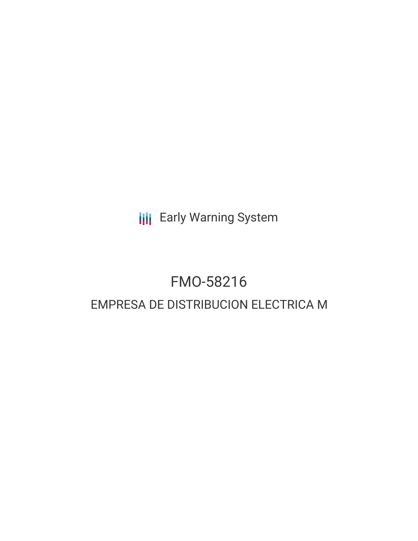**III** Early Warning System

## FMO-58216 EMPRESA DE DISTRIBUCION ELECTRICA M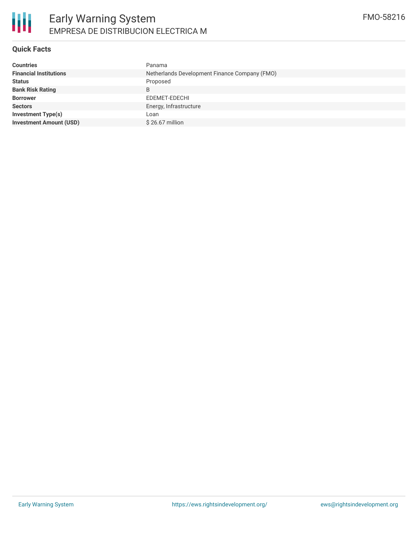

#### **Quick Facts**

| <b>Countries</b>               | Panama                                        |
|--------------------------------|-----------------------------------------------|
| <b>Financial Institutions</b>  | Netherlands Development Finance Company (FMO) |
| <b>Status</b>                  | Proposed                                      |
| <b>Bank Risk Rating</b>        | B                                             |
| <b>Borrower</b>                | EDEMET-EDECHI                                 |
| <b>Sectors</b>                 | Energy, Infrastructure                        |
| Investment Type(s)             | Loan                                          |
| <b>Investment Amount (USD)</b> | $$26.67$ million                              |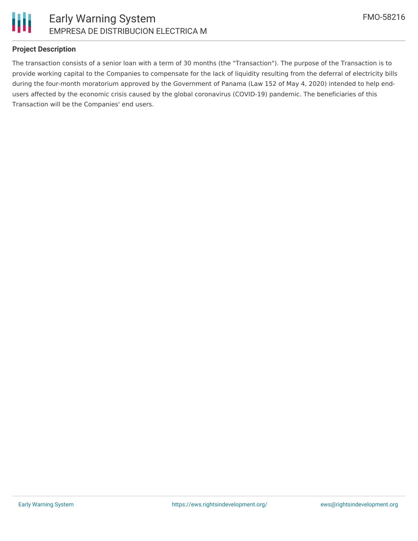

#### **Project Description**

The transaction consists of a senior loan with a term of 30 months (the "Transaction"). The purpose of the Transaction is to provide working capital to the Companies to compensate for the lack of liquidity resulting from the deferral of electricity bills during the four-month moratorium approved by the Government of Panama (Law 152 of May 4, 2020) intended to help endusers affected by the economic crisis caused by the global coronavirus (COVID-19) pandemic. The beneficiaries of this Transaction will be the Companies' end users.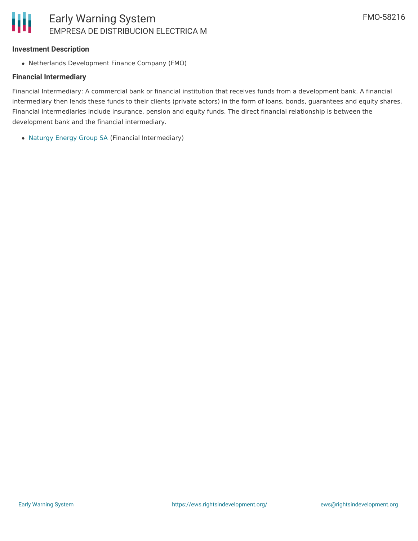#### **Investment Description**

Netherlands Development Finance Company (FMO)

#### **Financial Intermediary**

Financial Intermediary: A commercial bank or financial institution that receives funds from a development bank. A financial intermediary then lends these funds to their clients (private actors) in the form of loans, bonds, guarantees and equity shares. Financial intermediaries include insurance, pension and equity funds. The direct financial relationship is between the development bank and the financial intermediary.

[Naturgy](file:///actor/3190/) Energy Group SA (Financial Intermediary)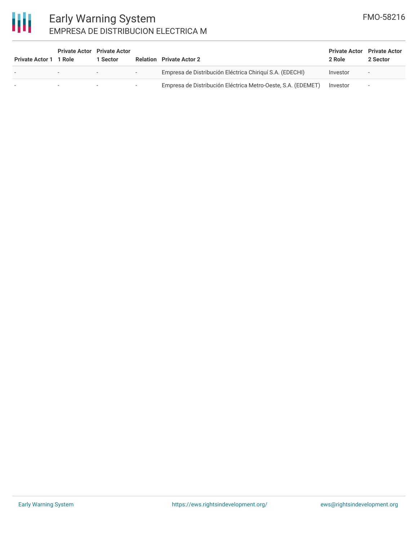# 冊

### Early Warning System EMPRESA DE DISTRIBUCION ELECTRICA M

| Private Actor 1 1 Role   | <b>Private Actor</b> Private Actor | 1 Sector |        | <b>Relation</b> Private Actor 2                              | <b>Private Actor</b> Private Actor<br>2 Role | 2 Sector                 |
|--------------------------|------------------------------------|----------|--------|--------------------------------------------------------------|----------------------------------------------|--------------------------|
| $\overline{\phantom{a}}$ |                                    |          | $\sim$ | Empresa de Distribución Eléctrica Chiriquí S.A. (EDECHI)     | Investor                                     | $\sim$                   |
|                          |                                    |          | $\sim$ | Empresa de Distribución Eléctrica Metro-Oeste, S.A. (EDEMET) | Investor                                     | $\overline{\phantom{a}}$ |